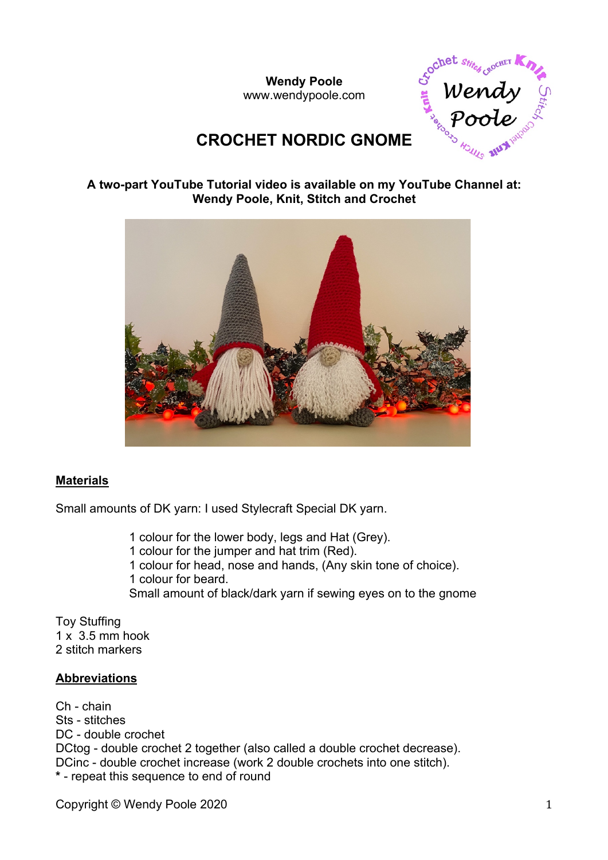**Wendy Poole** www.wendypoole.com



# **CROCHET NORDIC GNOME**

#### **A two-part YouTube Tutorial video is available on my YouTube Channel at: Wendy Poole, Knit, Stitch and Crochet**



#### **Materials**

Small amounts of DK yarn: I used Stylecraft Special DK yarn.

1 colour for the lower body, legs and Hat (Grey). 1 colour for the jumper and hat trim (Red). 1 colour for head, nose and hands, (Any skin tone of choice). 1 colour for beard. Small amount of black/dark yarn if sewing eyes on to the gnome

Toy Stuffing  $1 \times 3.5$  mm hook 2 stitch markers

#### **Abbreviations**

Ch - chain Sts - stitches DC - double crochet DCtog - double crochet 2 together (also called a double crochet decrease). DCinc - double crochet increase (work 2 double crochets into one stitch). **\*** - repeat this sequence to end of round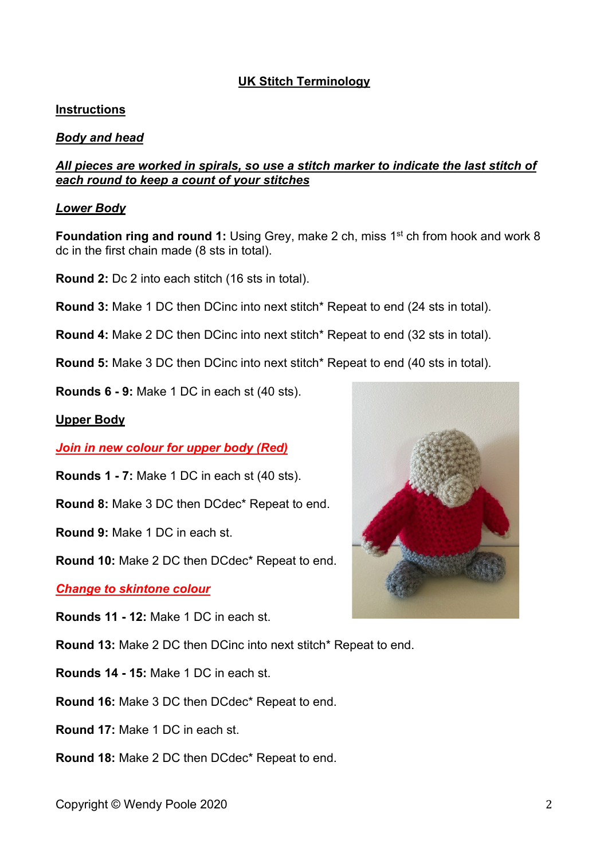## **UK Stitch Terminology**

#### **Instructions**

### *Body and head*

#### *All pieces are worked in spirals, so use a stitch marker to indicate the last stitch of each round to keep a count of your stitches*

#### *Lower Body*

**Foundation ring and round 1:** Using Grey, make 2 ch, miss 1<sup>st</sup> ch from hook and work 8 dc in the first chain made (8 sts in total).

**Round 2:** Dc 2 into each stitch (16 sts in total).

**Round 3:** Make 1 DC then DCinc into next stitch\* Repeat to end (24 sts in total).

**Round 4:** Make 2 DC then DCinc into next stitch\* Repeat to end (32 sts in total).

**Round 5:** Make 3 DC then DCinc into next stitch\* Repeat to end (40 sts in total).

**Rounds 6 - 9:** Make 1 DC in each st (40 sts).

#### **Upper Body**

*Join in new colour for upper body (Red)*

**Rounds 1 - 7:** Make 1 DC in each st (40 sts).

**Round 8:** Make 3 DC then DCdec\* Repeat to end.

**Round 9:** Make 1 DC in each st.

**Round 10:** Make 2 DC then DCdec\* Repeat to end.

*Change to skintone colour*

**Rounds 11 - 12:** Make 1 DC in each st.

**Round 13:** Make 2 DC then DCinc into next stitch\* Repeat to end.

**Rounds 14 - 15:** Make 1 DC in each st.

**Round 16:** Make 3 DC then DCdec\* Repeat to end.

**Round 17:** Make 1 DC in each st.

**Round 18:** Make 2 DC then DCdec\* Repeat to end.

Copyright © Wendy Poole 2020 2020

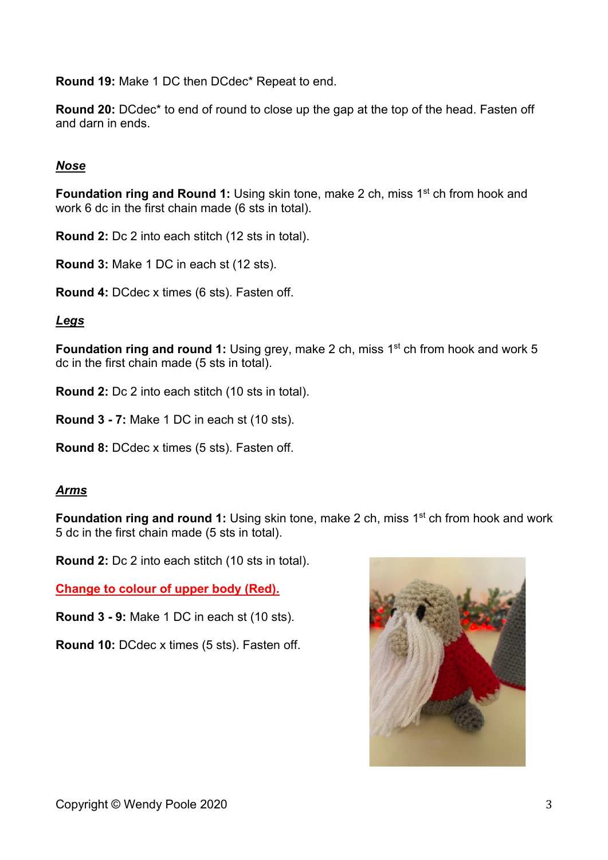**Round 19:** Make 1 DC then DCdec\* Repeat to end.

**Round 20:** DCdec\* to end of round to close up the gap at the top of the head. Fasten off and darn in ends.

## *Nose*

**Foundation ring and Round 1:** Using skin tone, make 2 ch, miss 1<sup>st</sup> ch from hook and work 6 dc in the first chain made (6 sts in total).

**Round 2:** Dc 2 into each stitch (12 sts in total).

**Round 3:** Make 1 DC in each st (12 sts).

**Round 4:** DCdec x times (6 sts). Fasten off.

## *Legs*

**Foundation ring and round 1:** Using grey, make 2 ch, miss 1<sup>st</sup> ch from hook and work 5 dc in the first chain made (5 sts in total).

**Round 2:** Dc 2 into each stitch (10 sts in total).

**Round 3 - 7:** Make 1 DC in each st (10 sts).

**Round 8:** DCdec x times (5 sts). Fasten off.

## *Arms*

**Foundation ring and round 1:** Using skin tone, make 2 ch, miss 1<sup>st</sup> ch from hook and work 5 dc in the first chain made (5 sts in total).

**Round 2:** Dc 2 into each stitch (10 sts in total).

**Change to colour of upper body (Red).**

**Round 3 - 9:** Make 1 DC in each st (10 sts).

**Round 10:** DCdec x times (5 sts). Fasten off.